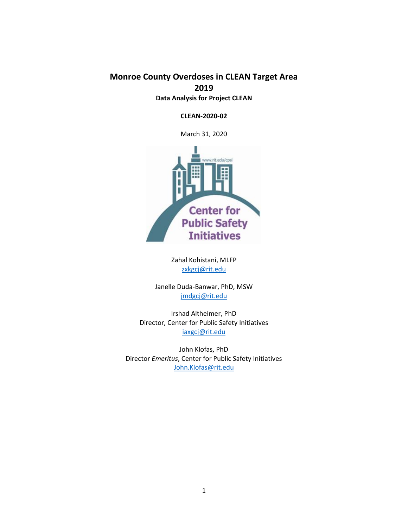**Monroe County Overdoses in CLEAN Target Area 2019 Data Analysis for Project CLEAN**

**CLEAN-2020-02**

March 31, 2020



Zahal Kohistani, MLFP [zxkgcj@rit.edu](mailto:zxkgcj@rit.edu)

Janelle Duda-Banwar, PhD, MSW [jmdgcj@rit.edu](mailto:jmdgcj@rit.edu)

Irshad Altheimer, PhD Director, Center for Public Safety Initiatives [iaxgcj@rit.edu](mailto:iaxgcj@rit.edu)

John Klofas, PhD Director *Emeritus*, Center for Public Safety Initiatives [John.Klofas@rit.edu](mailto:John.Klofas@rit.edu)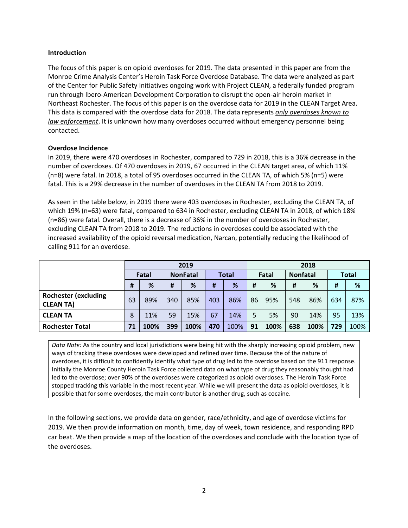#### **Introduction**

The focus of this paper is on opioid overdoses for 2019. The data presented in this paper are from the Monroe Crime Analysis Center's Heroin Task Force Overdose Database. The data were analyzed as part of the Center for Public Safety Initiatives ongoing work with Project CLEAN, a federally funded program run through Ibero-American Development Corporation to disrupt the open-air heroin market in Northeast Rochester. The focus of this paper is on the overdose data for 2019 in the CLEAN Target Area. This data is compared with the overdose data for 2018. The data represents *only overdoses known to law enforcement*. It is unknown how many overdoses occurred without emergency personnel being contacted.

#### **Overdose Incidence**

In 2019, there were 470 overdoses in Rochester, compared to 729 in 2018, this is a 36% decrease in the number of overdoses. Of 470 overdoses in 2019, 67 occurred in the CLEAN target area, of which 11% (n=8) were fatal. In 2018, a total of 95 overdoses occurred in the CLEAN TA, of which 5% (n=5) were fatal. This is a 29% decrease in the number of overdoses in the CLEAN TA from 2018 to 2019.

As seen in the table below, in 2019 there were 403 overdoses in Rochester, excluding the CLEAN TA, of which 19% (n=63) were fatal, compared to 634 in Rochester, excluding CLEAN TA in 2018, of which 18% (n=86) were fatal. Overall, there is a decrease of 36% in the number of overdoses in Rochester, excluding CLEAN TA from 2018 to 2019. The reductions in overdoses could be associated with the increased availability of the opioid reversal medication, Narcan, potentially reducing the likelihood of calling 911 for an overdose.

|                                                 | 2019  |      |                 |      |              | 2018 |       |      |                 |      |              |      |
|-------------------------------------------------|-------|------|-----------------|------|--------------|------|-------|------|-----------------|------|--------------|------|
|                                                 | Fatal |      | <b>NonFatal</b> |      | <b>Total</b> |      | Fatal |      | <b>Nonfatal</b> |      | <b>Total</b> |      |
|                                                 | #     | %    | #               | %    | #            | %    | #     | %    | #               | %    | #            | %    |
| <b>Rochester (excluding</b><br><b>CLEAN TA)</b> | 63    | 89%  | 340             | 85%  | 403          | 86%  | 86    | 95%  | 548             | 86%  | 634          | 87%  |
| <b>CLEAN TA</b>                                 | 8     | 11%  | 59              | 15%  | 67           | 14%  | 5     | 5%   | 90              | 14%  | 95           | 13%  |
| <b>Rochester Total</b>                          | 71    | 100% | 399             | 100% | 470          | 100% | 91    | 100% | 638             | 100% | 729          | 100% |

*Data Note:* As the country and local jurisdictions were being hit with the sharply increasing opioid problem, new ways of tracking these overdoses were developed and refined over time. Because the of the nature of overdoses, it is difficult to confidently identify what type of drug led to the overdose based on the 911 response. Initially the Monroe County Heroin Task Force collected data on what type of drug they reasonably thought had led to the overdose; over 90% of the overdoses were categorized as opioid overdoses. The Heroin Task Force stopped tracking this variable in the most recent year. While we will present the data as opioid overdoses, it is possible that for some overdoses, the main contributor is another drug, such as cocaine.

In the following sections, we provide data on gender, race/ethnicity, and age of overdose victims for 2019. We then provide information on month, time, day of week, town residence, and responding RPD car beat. We then provide a map of the location of the overdoses and conclude with the location type of the overdoses.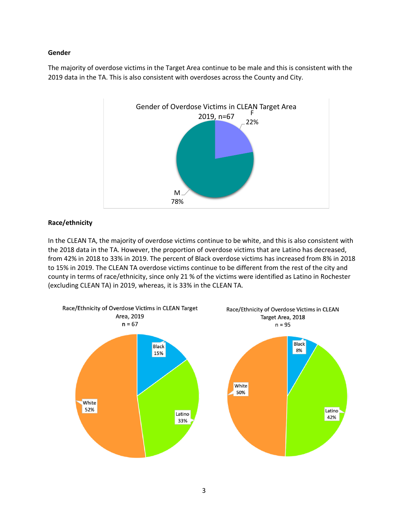## **Gender**

The majority of overdose victims in the Target Area continue to be male and this is consistent with the 2019 data in the TA. This is also consistent with overdoses across the County and City.



## **Race/ethnicity**

In the CLEAN TA, the majority of overdose victims continue to be white, and this is also consistent with the 2018 data in the TA. However, the proportion of overdose victims that are Latino has decreased, from 42% in 2018 to 33% in 2019. The percent of Black overdose victims has increased from 8% in 2018 to 15% in 2019. The CLEAN TA overdose victims continue to be different from the rest of the city and county in terms of race/ethnicity, since only 21 % of the victims were identified as Latino in Rochester (excluding CLEAN TA) in 2019, whereas, it is 33% in the CLEAN TA.

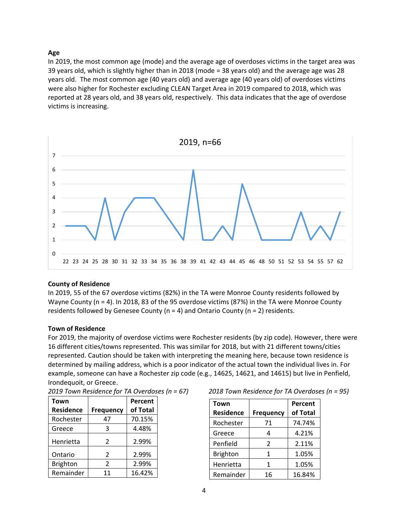#### **Age**

In 2019, the most common age (mode) and the average age of overdoses victims in the target area was 39 years old, which is slightly higher than in 2018 (mode = 38 years old) and the average age was 28 years old. The most common age (40 years old) and average age (40 years old) of overdoses victims were also higher for Rochester excluding CLEAN Target Area in 2019 compared to 2018, which was reported at 28 years old, and 38 years old, respectively. This data indicates that the age of overdose victims is increasing.



#### **County of Residence**

In 2019, 55 of the 67 overdose victims (82%) in the TA were Monroe County residents followed by Wayne County (n = 4). In 2018, 83 of the 95 overdose victims (87%) in the TA were Monroe County residents followed by Genesee County ( $n = 4$ ) and Ontario County ( $n = 2$ ) residents.

#### **Town of Residence**

For 2019, the majority of overdose victims were Rochester residents (by zip code). However, there were 16 different cities/towns represented. This was similar for 2018, but with 21 different towns/cities represented. Caution should be taken with interpreting the meaning here, because town residence is determined by mailing address, which is a poor indicator of the actual town the individual lives in. For example, someone can have a Rochester zip code (e.g., 14625, 14621, and 14615) but live in Penfield, Irondequoit, or Greece.

| Town             |                  | Percent  |
|------------------|------------------|----------|
| <b>Residence</b> | <b>Frequency</b> | of Total |
| Rochester        | 47               | 70.15%   |
| Greece           | 3                | 4.48%    |
| Henrietta        | $\mathcal{P}$    | 2.99%    |
| Ontario          | $\mathcal{P}$    | 2.99%    |
| <b>Brighton</b>  | $\mathcal{P}$    | 2.99%    |
| Remainder        | 11               | 16.42%   |

| 2019 Town Residence for TA Overdoses (n = 67) | 2018 Town Residence for TA Overdoses (n = 95) |
|-----------------------------------------------|-----------------------------------------------|
|-----------------------------------------------|-----------------------------------------------|

| 2018 Town Residence for TA Overdoses (n = 95) |  |  |  |
|-----------------------------------------------|--|--|--|
|-----------------------------------------------|--|--|--|

| Town             |                  | Percent  |
|------------------|------------------|----------|
| <b>Residence</b> | <b>Frequency</b> | of Total |
| Rochester        | 71               | 74.74%   |
| Greece           |                  | 4.21%    |
| Penfield         | $\mathcal{P}$    | 2.11%    |
| <b>Brighton</b>  | 1                | 1.05%    |
| Henrietta        | 1                | 1.05%    |
| Remainder        | 16               | 16.84%   |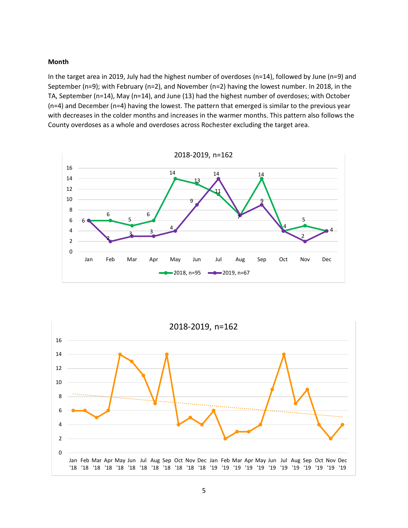#### **Month**

In the target area in 2019, July had the highest number of overdoses (n=14), followed by June (n=9) and September (n=9); with February (n=2), and November (n=2) having the lowest number. In 2018, in the TA, September (n=14), May (n=14), and June (13) had the highest number of overdoses; with October (n=4) and December (n=4) having the lowest. The pattern that emerged is similar to the previous year with decreases in the colder months and increases in the warmer months. This pattern also follows the County overdoses as a whole and overdoses across Rochester excluding the target area.



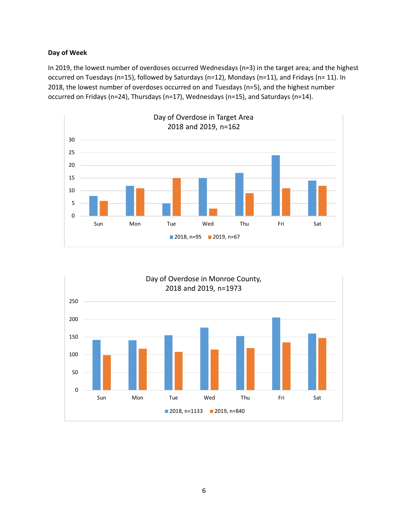#### **Day of Week**

In 2019, the lowest number of overdoses occurred Wednesdays (n=3) in the target area; and the highest occurred on Tuesdays (n=15), followed by Saturdays (n=12), Mondays (n=11), and Fridays (n= 11). In 2018, the lowest number of overdoses occurred on and Tuesdays (n=5), and the highest number occurred on Fridays (n=24), Thursdays (n=17), Wednesdays (n=15), and Saturdays (n=14).



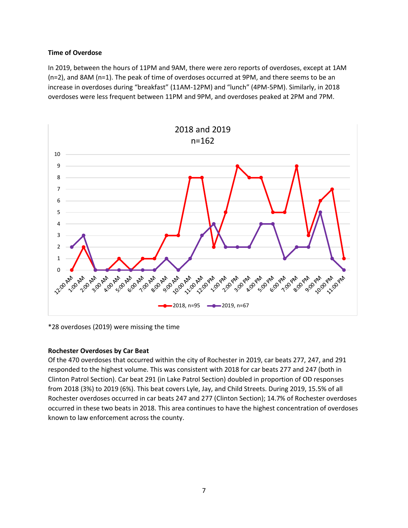## **Time of Overdose**

In 2019, between the hours of 11PM and 9AM, there were zero reports of overdoses, except at 1AM (n=2), and 8AM (n=1). The peak of time of overdoses occurred at 9PM, and there seems to be an increase in overdoses during "breakfast" (11AM-12PM) and "lunch" (4PM-5PM). Similarly, in 2018 overdoses were less frequent between 11PM and 9PM, and overdoses peaked at 2PM and 7PM.



\*28 overdoses (2019) were missing the time

## **Rochester Overdoses by Car Beat**

Of the 470 overdoses that occurred within the city of Rochester in 2019, car beats 277, 247, and 291 responded to the highest volume. This was consistent with 2018 for car beats 277 and 247 (both in Clinton Patrol Section). Car beat 291 (in Lake Patrol Section) doubled in proportion of OD responses from 2018 (3%) to 2019 (6%). This beat covers Lyle, Jay, and Child Streets. During 2019, 15.5% of all Rochester overdoses occurred in car beats 247 and 277 (Clinton Section); 14.7% of Rochester overdoses occurred in these two beats in 2018. This area continues to have the highest concentration of overdoses known to law enforcement across the county.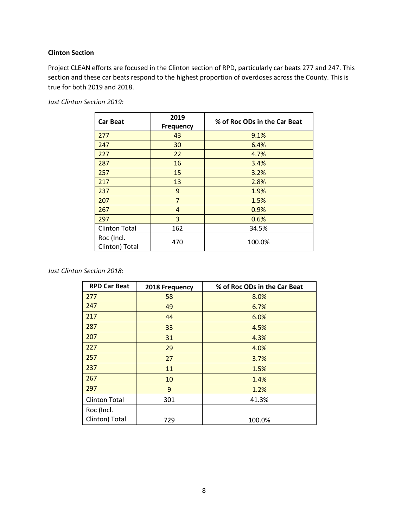# **Clinton Section**

Project CLEAN efforts are focused in the Clinton section of RPD, particularly car beats 277 and 247. This section and these car beats respond to the highest proportion of overdoses across the County. This is true for both 2019 and 2018.

| <b>Car Beat</b>              | 2019<br><b>Frequency</b> | % of Roc ODs in the Car Beat |
|------------------------------|--------------------------|------------------------------|
| 277                          | 43                       | 9.1%                         |
| 247                          | 30                       | 6.4%                         |
| 227                          | 22                       | 4.7%                         |
| 287                          | 16                       | 3.4%                         |
| 257                          | 15                       | 3.2%                         |
| 217                          | 13                       | 2.8%                         |
| 237                          | 9                        | 1.9%                         |
| 207                          | $\overline{7}$           | 1.5%                         |
| 267                          | 4                        | 0.9%                         |
| 297                          | 3                        | 0.6%                         |
| <b>Clinton Total</b>         | 162                      | 34.5%                        |
| Roc (Incl.<br>Clinton) Total | 470                      | 100.0%                       |

*Just Clinton Section 2019:*

*Just Clinton Section 2018:*

| <b>RPD Car Beat</b>  | 2018 Frequency | % of Roc ODs in the Car Beat |
|----------------------|----------------|------------------------------|
| 277                  | 58             | 8.0%                         |
| 247                  | 49             | 6.7%                         |
| 217                  | 44             | 6.0%                         |
| 287                  | 33             | 4.5%                         |
| 207                  | 31             | 4.3%                         |
| 227                  | 29             | 4.0%                         |
| 257                  | 27             | 3.7%                         |
| 237                  | 11             | 1.5%                         |
| 267                  | 10             | 1.4%                         |
| 297                  | 9              | 1.2%                         |
| <b>Clinton Total</b> | 301            | 41.3%                        |
| Roc (Incl.           |                |                              |
| Clinton) Total       | 729            | 100.0%                       |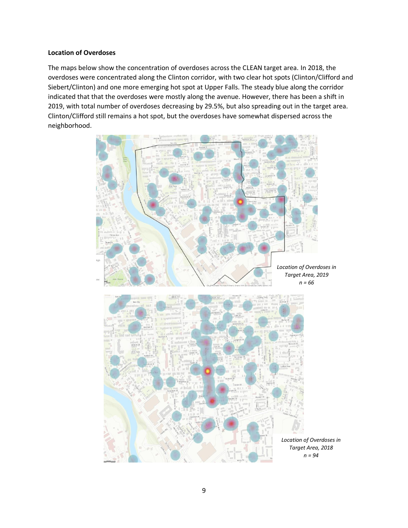#### **Location of Overdoses**

The maps below show the concentration of overdoses across the CLEAN target area. In 2018, the overdoses were concentrated along the Clinton corridor, with two clear hot spots (Clinton/Clifford and Siebert/Clinton) and one more emerging hot spot at Upper Falls. The steady blue along the corridor indicated that that the overdoses were mostly along the avenue. However, there has been a shift in 2019, with total number of overdoses decreasing by 29.5%, but also spreading out in the target area. Clinton/Clifford still remains a hot spot, but the overdoses have somewhat dispersed across the neighborhood.

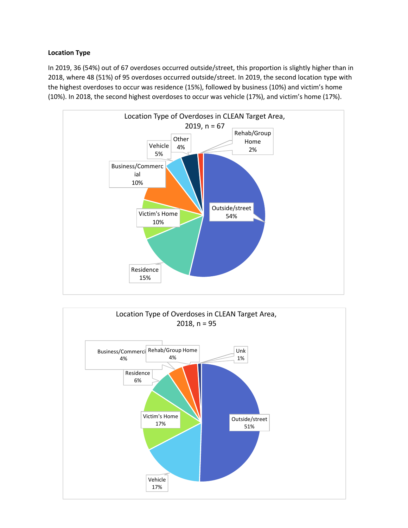# **Location Type**

In 2019, 36 (54%) out of 67 overdoses occurred outside/street, this proportion is slightly higher than in 2018, where 48 (51%) of 95 overdoses occurred outside/street. In 2019, the second location type with the highest overdoses to occur was residence (15%), followed by business (10%) and victim's home (10%). In 2018, the second highest overdoses to occur was vehicle (17%), and victim's home (17%).



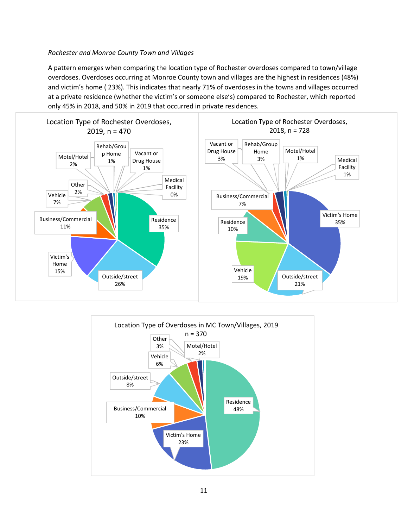## *Rochester and Monroe County Town and Villages*

A pattern emerges when comparing the location type of Rochester overdoses compared to town/village overdoses. Overdoses occurring at Monroe County town and villages are the highest in residences (48%) and victim's home ( 23%). This indicates that nearly 71% of overdoses in the towns and villages occurred at a private residence (whether the victim's or someone else's) compared to Rochester, which reported only 45% in 2018, and 50% in 2019 that occurred in private residences.